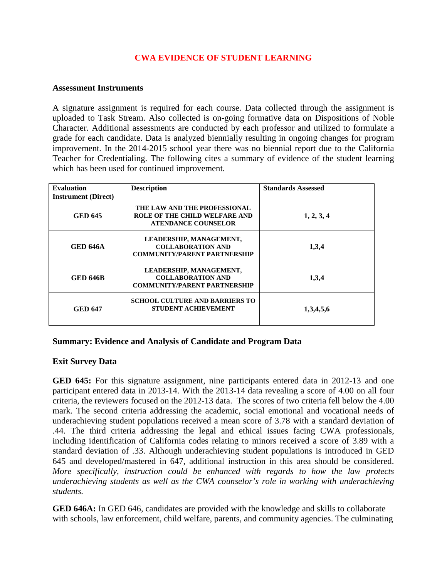## **CWA EVIDENCE OF STUDENT LEARNING**

## **Assessment Instruments**

A signature assignment is required for each course. Data collected through the assignment is uploaded to Task Stream. Also collected is on-going formative data on Dispositions of Noble Character. Additional assessments are conducted by each professor and utilized to formulate a grade for each candidate. Data is analyzed biennially resulting in ongoing changes for program improvement. In the 2014-2015 school year there was no biennial report due to the California Teacher for Credentialing. The following cites a summary of evidence of the student learning which has been used for continued improvement.

| <b>Evaluation</b><br><b>Instrument</b> (Direct) | <b>Description</b>                                                                                 | <b>Standards Assessed</b> |
|-------------------------------------------------|----------------------------------------------------------------------------------------------------|---------------------------|
| <b>GED 645</b>                                  | THE LAW AND THE PROFESSIONAL<br><b>ROLE OF THE CHILD WELFARE AND</b><br><b>ATENDANCE COUNSELOR</b> | 1, 2, 3, 4                |
| <b>GED 646A</b>                                 | LEADERSHIP, MANAGEMENT,<br><b>COLLABORATION AND</b><br><b>COMMUNITY/PARENT PARTNERSHIP</b>         | 1,3,4                     |
| <b>GED 646B</b>                                 | LEADERSHIP, MANAGEMENT,<br><b>COLLABORATION AND</b><br><b>COMMUNITY/PARENT PARTNERSHIP</b>         | 1,3,4                     |
| <b>GED 647</b>                                  | <b>SCHOOL CULTURE AND BARRIERS TO</b><br><b>STUDENT ACHIEVEMENT</b>                                | 1,3,4,5,6                 |

## **Summary: Evidence and Analysis of Candidate and Program Data**

## **Exit Survey Data**

**GED 645:** For this signature assignment, nine participants entered data in 2012-13 and one participant entered data in 2013-14. With the 2013-14 data revealing a score of 4.00 on all four criteria, the reviewers focused on the 2012-13 data. The scores of two criteria fell below the 4.00 mark. The second criteria addressing the academic, social emotional and vocational needs of underachieving student populations received a mean score of 3.78 with a standard deviation of .44. The third criteria addressing the legal and ethical issues facing CWA professionals, including identification of California codes relating to minors received a score of 3.89 with a standard deviation of .33. Although underachieving student populations is introduced in GED 645 and developed/mastered in 647, additional instruction in this area should be considered. *More specifically, instruction could be enhanced with regards to how the law protects underachieving students as well as the CWA counselor's role in working with underachieving students.* 

**GED 646A:** In GED 646, candidates are provided with the knowledge and skills to collaborate with schools, law enforcement, child welfare, parents, and community agencies. The culminating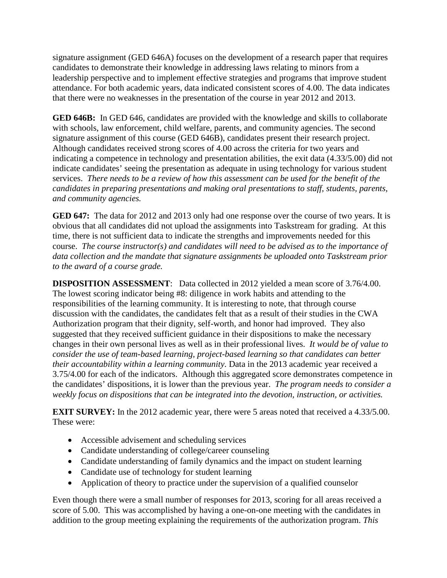signature assignment (GED 646A) focuses on the development of a research paper that requires candidates to demonstrate their knowledge in addressing laws relating to minors from a leadership perspective and to implement effective strategies and programs that improve student attendance. For both academic years, data indicated consistent scores of 4.00. The data indicates that there were no weaknesses in the presentation of the course in year 2012 and 2013.

**GED 646B:** In GED 646, candidates are provided with the knowledge and skills to collaborate with schools, law enforcement, child welfare, parents, and community agencies. The second signature assignment of this course (GED 646B), candidates present their research project. Although candidates received strong scores of 4.00 across the criteria for two years and indicating a competence in technology and presentation abilities, the exit data (4.33/5.00) did not indicate candidates' seeing the presentation as adequate in using technology for various student services. *There needs to be a review of how this assessment can be used for the benefit of the candidates in preparing presentations and making oral presentations to staff, students, parents, and community agencies.*

**GED 647:** The data for 2012 and 2013 only had one response over the course of two years. It is obvious that all candidates did not upload the assignments into Taskstream for grading. At this time, there is not sufficient data to indicate the strengths and improvements needed for this course. *The course instructor(s) and candidates will need to be advised as to the importance of data collection and the mandate that signature assignments be uploaded onto Taskstream prior to the award of a course grade.*

**DISPOSITION ASSESSMENT**: Data collected in 2012 yielded a mean score of 3.76/4.00. The lowest scoring indicator being #8: diligence in work habits and attending to the responsibilities of the learning community. It is interesting to note, that through course discussion with the candidates, the candidates felt that as a result of their studies in the CWA Authorization program that their dignity, self-worth, and honor had improved. They also suggested that they received sufficient guidance in their dispositions to make the necessary changes in their own personal lives as well as in their professional lives. *It would be of value to consider the use of team-based learning, project-based learning so that candidates can better their accountability within a learning community*. Data in the 2013 academic year received a 3.75/4.00 for each of the indicators. Although this aggregated score demonstrates competence in the candidates' dispositions, it is lower than the previous year. *The program needs to consider a weekly focus on dispositions that can be integrated into the devotion, instruction, or activities.* 

**EXIT SURVEY:** In the 2012 academic year, there were 5 areas noted that received a 4.33/5.00. These were:

- Accessible advisement and scheduling services
- Candidate understanding of college/career counseling
- Candidate understanding of family dynamics and the impact on student learning
- Candidate use of technology for student learning
- Application of theory to practice under the supervision of a qualified counselor

Even though there were a small number of responses for 2013, scoring for all areas received a score of 5.00. This was accomplished by having a one-on-one meeting with the candidates in addition to the group meeting explaining the requirements of the authorization program. *This*